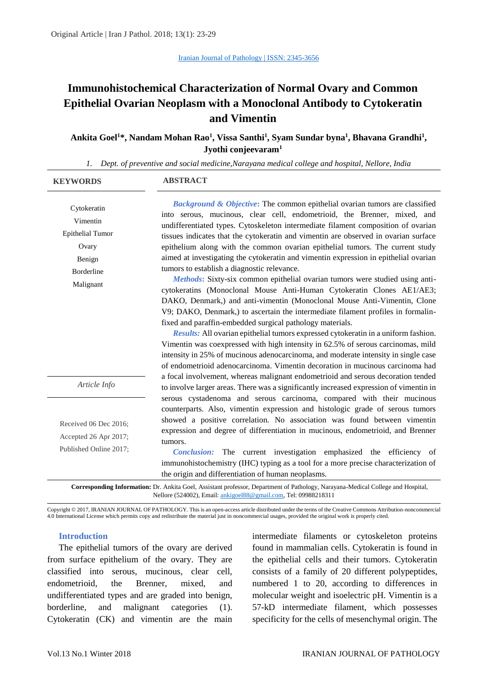# **Immunohistochemical Characterization of Normal Ovary and Common Epithelial Ovarian Neoplasm with a Monoclonal Antibody to Cytokeratin and Vimentin**

**Ankita Goel<sup>1</sup>\*, Nandam Mohan Rao<sup>1</sup> , Vissa Santhi<sup>1</sup> , Syam Sundar byna<sup>1</sup> , Bhavana Grandhi<sup>1</sup> , Jyothi conjeevaram<sup>1</sup>**

*1. Dept. of preventive and social medicine,Narayana medical college and hospital, Nellore, India*

| <b>KEYWORDS</b>                                                                                                                                                                                     | <b>ABSTRACT</b>                                                                                                                                                                                                                                                                                                                                                                                                                                                                                                                                                                                                                                                                                                                                                                                                                                                                                                                                              |  |  |  |  |
|-----------------------------------------------------------------------------------------------------------------------------------------------------------------------------------------------------|--------------------------------------------------------------------------------------------------------------------------------------------------------------------------------------------------------------------------------------------------------------------------------------------------------------------------------------------------------------------------------------------------------------------------------------------------------------------------------------------------------------------------------------------------------------------------------------------------------------------------------------------------------------------------------------------------------------------------------------------------------------------------------------------------------------------------------------------------------------------------------------------------------------------------------------------------------------|--|--|--|--|
| Cytokeratin<br>Vimentin<br><b>Epithelial Tumor</b><br>Ovary<br>Benign<br><b>Borderline</b><br>Malignant                                                                                             | <b>Background &amp; Objective:</b> The common epithelial ovarian tumors are classified<br>into serous, mucinous, clear cell, endometrioid, the Brenner, mixed, and<br>undifferentiated types. Cytoskeleton intermediate filament composition of ovarian<br>tissues indicates that the cytokeratin and vimentin are observed in ovarian surface<br>epithelium along with the common ovarian epithelial tumors. The current study<br>aimed at investigating the cytokeratin and vimentin expression in epithelial ovarian<br>tumors to establish a diagnostic relevance.<br>Methods: Sixty-six common epithelial ovarian tumors were studied using anti-<br>cytokeratins (Monoclonal Mouse Anti-Human Cytokeratin Clones AE1/AE3;<br>DAKO, Denmark,) and anti-vimentin (Monoclonal Mouse Anti-Vimentin, Clone<br>V9; DAKO, Denmark,) to ascertain the intermediate filament profiles in formalin-<br>fixed and paraffin-embedded surgical pathology materials. |  |  |  |  |
|                                                                                                                                                                                                     | Results: All ovarian epithelial tumors expressed cytokeratin in a uniform fashion.<br>Vimentin was coexpressed with high intensity in 62.5% of serous carcinomas, mild<br>intensity in 25% of mucinous adenocarcinoma, and moderate intensity in single case<br>of endometrioid adenocarcinoma. Vimentin decoration in mucinous carcinoma had                                                                                                                                                                                                                                                                                                                                                                                                                                                                                                                                                                                                                |  |  |  |  |
| Article Info                                                                                                                                                                                        | a focal involvement, whereas malignant endometrioid and serous decoration tended<br>to involve larger areas. There was a significantly increased expression of vimentin in                                                                                                                                                                                                                                                                                                                                                                                                                                                                                                                                                                                                                                                                                                                                                                                   |  |  |  |  |
| Received 06 Dec 2016;<br>Accepted 26 Apr 2017;<br>Published Online 2017;                                                                                                                            | serous cystadenoma and serous carcinoma, compared with their mucinous<br>counterparts. Also, vimentin expression and histologic grade of serous tumors<br>showed a positive correlation. No association was found between vimentin<br>expression and degree of differentiation in mucinous, endometrioid, and Brenner<br>tumors.<br><i>Conclusion:</i> The current investigation emphasized the efficiency of<br>immunohistochemistry (IHC) typing as a tool for a more precise characterization of<br>the origin and differentiation of human neoplasms.                                                                                                                                                                                                                                                                                                                                                                                                    |  |  |  |  |
| Corresponding Information: Dr. Ankita Goel, Assistant professor, Department of Pathology, Narayana-Medical College and Hospital,<br>Nellore (524002), Email: ankigoel88@gmail.com, Tel: 09988218311 |                                                                                                                                                                                                                                                                                                                                                                                                                                                                                                                                                                                                                                                                                                                                                                                                                                                                                                                                                              |  |  |  |  |

Copyright © 2017, IRANIAN JOURNAL OF PATHOLOGY. This is an open-access article distributed under the terms of the Creative Commons Attribution-noncommercial 4.0 International License which permits copy and redistribute the material just in noncommercial usages, provided the original work is properly cited.

#### **Introduction**

The epithelial tumors of the ovary are derived from surface epithelium of the ovary. They are classified into serous, mucinous, clear cell, endometrioid, the Brenner, mixed, and undifferentiated types and are graded into benign, borderline, and malignant categories (1). Cytokeratin (CK) and vimentin are the main

intermediate filaments or cytoskeleton proteins found in mammalian cells. Cytokeratin is found in the epithelial cells and their tumors. Cytokeratin consists of a family of 20 different polypeptides, numbered 1 to 20, according to differences in molecular weight and isoelectric pH. Vimentin is a 57-kD intermediate filament, which possesses specificity for the cells of mesenchymal origin. The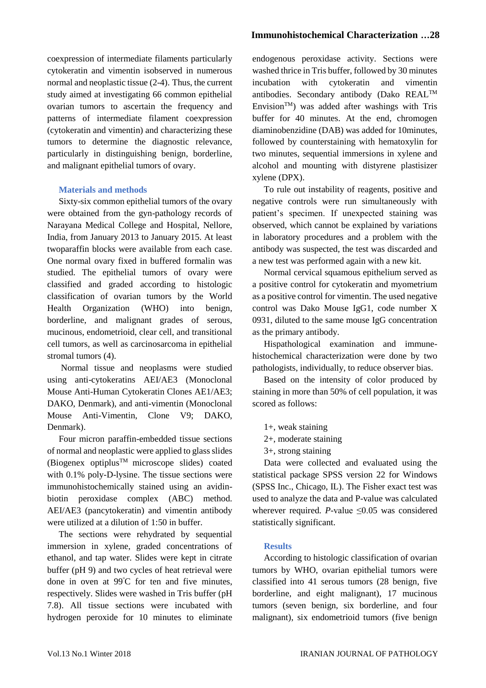coexpression of intermediate filaments particularly cytokeratin and vimentin isobserved in numerous normal and neoplastic tissue (2-4). Thus, the current study aimed at investigating 66 common epithelial ovarian tumors to ascertain the frequency and patterns of intermediate filament coexpression (cytokeratin and vimentin) and characterizing these tumors to determine the diagnostic relevance, particularly in distinguishing benign, borderline, and malignant epithelial tumors of ovary.

### **Materials and methods**

Sixty-six common epithelial tumors of the ovary were obtained from the gyn-pathology records of Narayana Medical College and Hospital, Nellore, India, from January 2013 to January 2015. At least twoparaffin blocks were available from each case. One normal ovary fixed in buffered formalin was studied. The epithelial tumors of ovary were classified and graded according to histologic classification of ovarian tumors by the World Health Organization (WHO) into benign, borderline, and malignant grades of serous, mucinous, endometrioid, clear cell, and transitional cell tumors, as well as carcinosarcoma in epithelial stromal tumors (4).

Normal tissue and neoplasms were studied using anti-cytokeratins AEI/AE3 (Monoclonal Mouse Anti-Human Cytokeratin Clones AE1/AE3; DAKO, Denmark), and anti-vimentin (Monoclonal Mouse Anti-Vimentin, Clone V9; DAKO, Denmark).

Four micron paraffin-embedded tissue sections of normal and neoplastic were applied to glass slides (Biogenex optiplus<sup>TM</sup> microscope slides) coated with 0.1% poly-D-lysine. The tissue sections were immunohistochemically stained using an avidinbiotin peroxidase complex (ABC) method. AEI/AE3 (pancytokeratin) and vimentin antibody were utilized at a dilution of 1:50 in buffer.

The sections were rehydrated by sequential immersion in xylene, graded concentrations of ethanol, and tap water. Slides were kept in citrate buffer (pH 9) and two cycles of heat retrieval were done in oven at 99<sup>º</sup>C for ten and five minutes, respectively. Slides were washed in Tris buffer (pH 7.8). All tissue sections were incubated with hydrogen peroxide for 10 minutes to eliminate

# **Immunohistochemical Characterization …28**

endogenous peroxidase activity. Sections were washed thrice in Tris buffer, followed by 30 minutes incubation with cytokeratin and vimentin antibodies. Secondary antibody (Dako REALTM Envision<sup>TM</sup>) was added after washings with Tris buffer for 40 minutes. At the end, chromogen diaminobenzidine (DAB) was added for 10minutes, followed by counterstaining with hematoxylin for two minutes, sequential immersions in xylene and alcohol and mounting with distyrene plastisizer xylene (DPX).

To rule out instability of reagents, positive and negative controls were run simultaneously with patient's specimen. If unexpected staining was observed, which cannot be explained by variations in laboratory procedures and a problem with the antibody was suspected, the test was discarded and a new test was performed again with a new kit.

Normal cervical squamous epithelium served as a positive control for cytokeratin and myometrium as a positive control for vimentin. The used negative control was Dako Mouse IgG1, code number X 0931, diluted to the same mouse IgG concentration as the primary antibody.

Hispathological examination and immunehistochemical characterization were done by two pathologists, individually, to reduce observer bias.

Based on the intensity of color produced by staining in more than 50% of cell population, it was scored as follows:

- 1+, weak staining
- 2+, moderate staining
- 3+, strong staining

Data were collected and evaluated using the statistical package SPSS version 22 for Windows (SPSS Inc., Chicago, IL). The Fisher exact test was used to analyze the data and P-value was calculated wherever required.  $P$ -value  $\leq 0.05$  was considered statistically significant.

# **Results**

According to histologic classification of ovarian tumors by WHO, ovarian epithelial tumors were classified into 41 serous tumors (28 benign, five borderline, and eight malignant), 17 mucinous tumors (seven benign, six borderline, and four malignant), six endometrioid tumors (five benign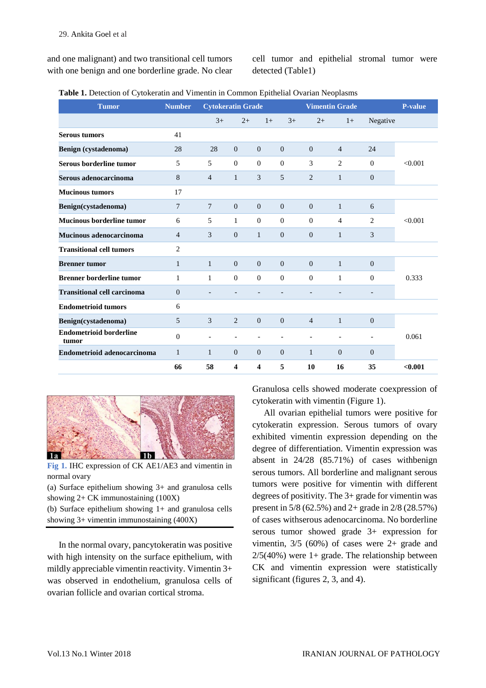and one malignant) and two transitional cell tumors with one benign and one borderline grade. No clear cell tumor and epithelial stromal tumor were detected (Table1)

| Table 1. Detection of Cytokeratin and Vimentin in Common Epithelial Ovarian Neoplasms |  |  |
|---------------------------------------------------------------------------------------|--|--|
|---------------------------------------------------------------------------------------|--|--|

| <b>Tumor</b>                            | <b>Number</b>  | <b>Cytokeratin Grade</b> |                |                         |                | <b>Vimentin Grade</b> | <b>P-value</b> |                |         |
|-----------------------------------------|----------------|--------------------------|----------------|-------------------------|----------------|-----------------------|----------------|----------------|---------|
|                                         |                | $3+$                     | $2+$           | $1+$                    | $3+$           | $2+$                  | $1+$           | Negative       |         |
| <b>Serous tumors</b>                    | 41             |                          |                |                         |                |                       |                |                |         |
| Benign (cystadenoma)                    | 28             | 28                       | $\theta$       | $\Omega$                | $\Omega$       | $\Omega$              | $\overline{4}$ | 24             | < 0.001 |
| Serous borderline tumor                 | 5              | 5                        | $\mathbf{0}$   | $\mathbf{0}$            | $\mathbf{0}$   | 3                     | 2              | $\Omega$       |         |
| Serous adenocarcinoma                   | 8              | $\overline{4}$           | 1              | 3                       | 5              | 2                     | $\mathbf{1}$   | $\theta$       |         |
| <b>Mucinous tumors</b>                  | 17             |                          |                |                         |                |                       |                |                |         |
| Benign(cystadenoma)                     | 7              | 7                        | $\Omega$       | $\mathbf{0}$            | $\overline{0}$ | $\Omega$              | $\mathbf{1}$   | 6              | < 0.001 |
| <b>Mucinous borderline tumor</b>        | 6              | 5                        | 1              | $\theta$                | $\Omega$       | $\Omega$              | $\overline{4}$ | $\overline{2}$ |         |
| Mucinous adenocarcinoma                 | $\overline{4}$ | 3                        | $\theta$       | $\mathbf{1}$            | $\overline{0}$ | $\overline{0}$        | $\mathbf{1}$   | 3              |         |
| <b>Transitional cell tumors</b>         | $\overline{c}$ |                          |                |                         |                |                       |                |                |         |
| <b>Brenner</b> tumor                    | $\mathbf{1}$   | $\mathbf{1}$             | $\overline{0}$ | $\overline{0}$          | $\overline{0}$ | $\Omega$              | $\mathbf{1}$   | $\mathbf{0}$   | 0.333   |
| <b>Brenner borderline tumor</b>         | 1              | $\mathbf{1}$             | $\Omega$       | $\mathbf{0}$            | $\mathbf{0}$   | $\mathbf{0}$          | 1              | $\Omega$       |         |
| <b>Transitional cell carcinoma</b>      | $\overline{0}$ |                          |                |                         |                |                       |                | $\overline{a}$ |         |
| <b>Endometrioid tumors</b>              | 6              |                          |                |                         |                |                       |                |                |         |
| Benign(cystadenoma)                     | 5              | 3                        | 2              | $\overline{0}$          | $\overline{0}$ | $\overline{4}$        | $\mathbf{1}$   | $\mathbf{0}$   | 0.061   |
| <b>Endometrioid borderline</b><br>tumor | $\Omega$       |                          |                | $\overline{a}$          |                |                       | $\overline{a}$ | $\overline{a}$ |         |
| Endometrioid adenocarcinoma             | $\mathbf{1}$   | 1                        | $\Omega$       | $\Omega$                | $\Omega$       | 1                     | $\Omega$       | $\Omega$       |         |
|                                         | 66             | 58                       | 4              | $\overline{\mathbf{4}}$ | 5              | 10                    | 16             | 35             | < 0.001 |



**Fig 1.** IHC expression of CK AE1/AE3 and vimentin in normal ovary

(a) Surface epithelium showing 3+ and granulosa cells showing 2+ CK immunostaining (100X)

(b) Surface epithelium showing 1+ and granulosa cells showing 3+ vimentin immunostaining (400X)

In the normal ovary, pancytokeratin was positive with high intensity on the surface epithelium, with mildly appreciable vimentin reactivity. Vimentin 3+ was observed in endothelium, granulosa cells of ovarian follicle and ovarian cortical stroma.

Granulosa cells showed moderate coexpression of cytokeratin with vimentin (Figure 1).

All ovarian epithelial tumors were positive for cytokeratin expression. Serous tumors of ovary exhibited vimentin expression depending on the degree of differentiation. Vimentin expression was absent in 24/28 (85.71%) of cases withbenign serous tumors. All borderline and malignant serous tumors were positive for vimentin with different degrees of positivity. The 3+ grade for vimentin was present in 5/8 (62.5%) and 2+ grade in 2/8 (28.57%) of cases withserous adenocarcinoma. No borderline serous tumor showed grade 3+ expression for vimentin, 3/5 (60%) of cases were 2+ grade and  $2/5(40%)$  were 1+ grade. The relationship between CK and vimentin expression were statistically significant (figures 2, 3, and 4).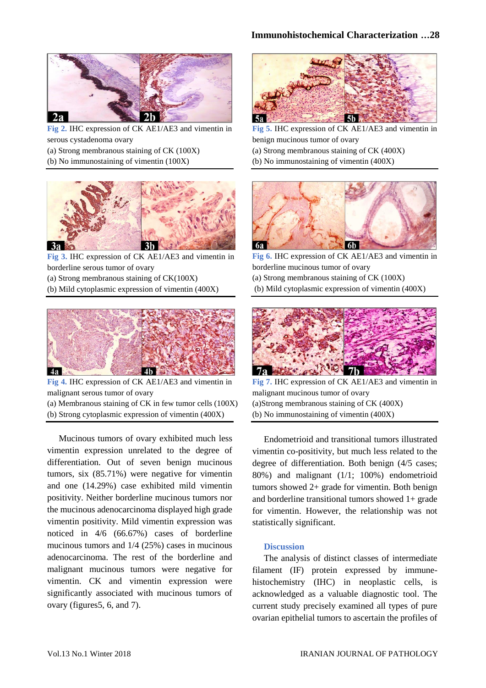

**Fig 2.** IHC expression of CK AE1/AE3 and vimentin in serous cystadenoma ovary

- (a) Strong membranous staining of CK (100X)
- (b) No immunostaining of vimentin (100X)



**Fig 3.** IHC expression of CK AE1/AE3 and vimentin in borderline serous tumor of ovary

- (a) Strong membranous staining of CK(100X)
- (b) Mild cytoplasmic expression of vimentin (400X)



**Fig 4.** IHC expression of CK AE1/AE3 and vimentin in malignant serous tumor of ovary

(a) Membranous staining of CK in few tumor cells (100X) (b) Strong cytoplasmic expression of vimentin (400X)

Mucinous tumors of ovary exhibited much less vimentin expression unrelated to the degree of differentiation. Out of seven benign mucinous tumors, six (85.71%) were negative for vimentin and one (14.29%) case exhibited mild vimentin positivity. Neither borderline mucinous tumors nor the mucinous adenocarcinoma displayed high grade vimentin positivity. Mild vimentin expression was noticed in 4/6 (66.67%) cases of borderline mucinous tumors and 1/4 (25%) cases in mucinous adenocarcinoma. The rest of the borderline and malignant mucinous tumors were negative for vimentin. CK and vimentin expression were significantly associated with mucinous tumors of ovary (figures5, 6, and 7).



**Fig 5.** IHC expression of CK AE1/AE3 and vimentin in benign mucinous tumor of ovary (a) Strong membranous staining of CK (400X) (b) No immunostaining of vimentin (400X)



**Fig 6.** IHC expression of CK AE1/AE3 and vimentin in borderline mucinous tumor of ovary

- (a) Strong membranous staining of CK (100X)
- (b) Mild cytoplasmic expression of vimentin (400X)



**Fig 7.** IHC expression of CK AE1/AE3 and vimentin in malignant mucinous tumor of ovary (a)Strong membranous staining of CK (400X) (b) No immunostaining of vimentin (400X)

Endometrioid and transitional tumors illustrated vimentin co-positivity, but much less related to the degree of differentiation. Both benign (4/5 cases; 80%) and malignant (1/1; 100%) endometrioid tumors showed 2+ grade for vimentin. Both benign and borderline transitional tumors showed 1+ grade for vimentin. However, the relationship was not statistically significant.

#### **Discussion**

The analysis of distinct classes of intermediate filament (IF) protein expressed by immunehistochemistry (IHC) in neoplastic cells, is acknowledged as a valuable diagnostic tool. The current study precisely examined all types of pure ovarian epithelial tumors to ascertain the profiles of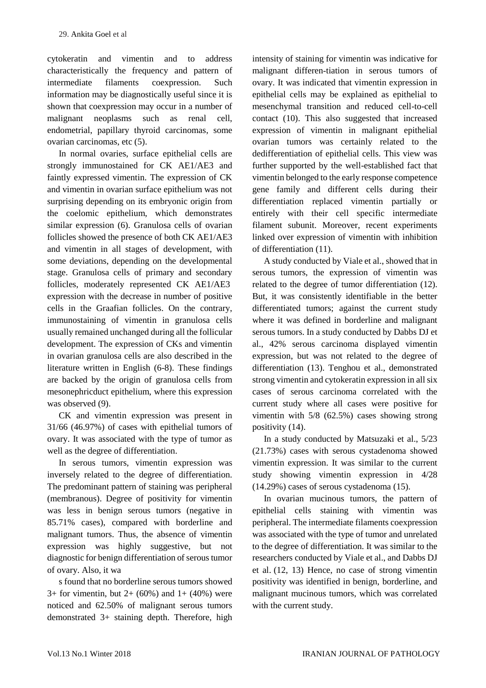cytokeratin and vimentin and to address characteristically the frequency and pattern of intermediate filaments coexpression. Such information may be diagnostically useful since it is shown that coexpression may occur in a number of malignant neoplasms such as renal cell, endometrial, papillary thyroid carcinomas, some ovarian carcinomas, etc (5).

In normal ovaries, surface epithelial cells are strongly immunostained for CK AE1/AE3 and faintly expressed vimentin. The expression of CK and vimentin in ovarian surface epithelium was not surprising depending on its embryonic origin from the coelomic epithelium, which demonstrates similar expression (6). Granulosa cells of ovarian follicles showed the presence of both CK AE1/AE3 and vimentin in all stages of development, with some deviations, depending on the developmental stage. Granulosa cells of primary and secondary follicles, moderately represented CK AE1/AE3 expression with the decrease in number of positive cells in the Graafian follicles. On the contrary, immunostaining of vimentin in granulosa cells usually remained unchanged during all the follicular development. The expression of CKs and vimentin in ovarian granulosa cells are also described in the literature written in English (6-8). These findings are backed by the origin of granulosa cells from mesonephricduct epithelium, where this expression was observed  $(9)$ .

CK and vimentin expression was present in 31/66 (46.97%) of cases with epithelial tumors of ovary. It was associated with the type of tumor as well as the degree of differentiation.

In serous tumors, vimentin expression was inversely related to the degree of differentiation. The predominant pattern of staining was peripheral (membranous). Degree of positivity for vimentin was less in benign serous tumors (negative in 85.71% cases), compared with borderline and malignant tumors. Thus, the absence of vimentin expression was highly suggestive, but not diagnostic for benign differentiation of serous tumor of ovary. Also, it wa

s found that no borderline serous tumors showed 3+ for vimentin, but  $2+(60%)$  and  $1+(40%)$  were noticed and 62.50% of malignant serous tumors demonstrated 3+ staining depth. Therefore, high

intensity of staining for vimentin was indicative for malignant differen-tiation in serous tumors of ovary. It was indicated that vimentin expression in epithelial cells may be explained as epithelial to mesenchymal transition and reduced cell-to-cell contact (10). This also suggested that increased expression of vimentin in malignant epithelial ovarian tumors was certainly related to the dedifferentiation of epithelial cells. This view was further supported by the well-established fact that vimentin belonged to the early response competence gene family and different cells during their differentiation replaced vimentin partially or entirely with their cell specific intermediate filament subunit. Moreover, recent experiments linked over expression of vimentin with inhibition of differentiation (11).

A study conducted by Viale et al., showed that in serous tumors, the expression of vimentin was related to the degree of tumor differentiation (12). But, it was consistently identifiable in the better differentiated tumors; against the current study where it was defined in borderline and malignant serous tumors. In a study conducted by Dabbs DJ et al., 42% serous carcinoma displayed vimentin expression, but was not related to the degree of differentiation (13). Tenghou et al., demonstrated strong vimentin and cytokeratin expression in all six cases of serous carcinoma correlated with the current study where all cases were positive for vimentin with 5/8 (62.5%) cases showing strong positivity (14).

In a study conducted by Matsuzaki et al., 5/23 (21.73%) cases with serous cystadenoma showed vimentin expression. It was similar to the current study showing vimentin expression in 4/28 (14.29%) cases of serous cystadenoma (15).

In ovarian mucinous tumors, the pattern of epithelial cells staining with vimentin was peripheral. The intermediate filaments coexpression was associated with the type of tumor and unrelated to the degree of differentiation. It was similar to the researchers conducted by Viale et al., and Dabbs DJ et al. (12, 13) Hence, no case of strong vimentin positivity was identified in benign, borderline, and malignant mucinous tumors, which was correlated with the current study.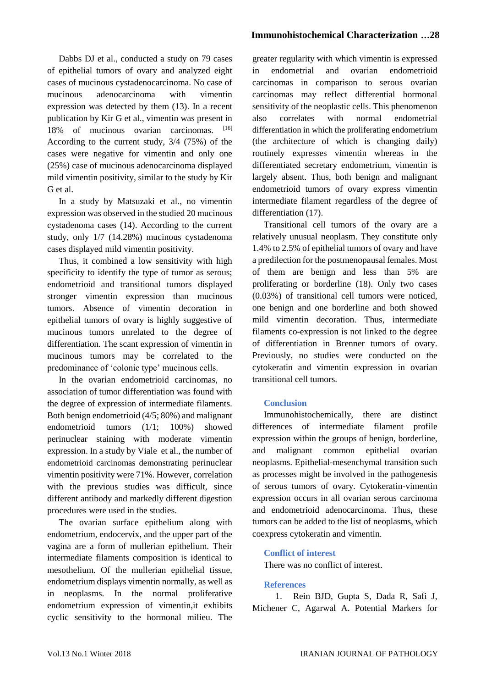## **Immunohistochemical Characterization …28**

Dabbs DJ et al., conducted a study on 79 cases of epithelial tumors of ovary and analyzed eight cases of mucinous cystadenocarcinoma. No case of mucinous adenocarcinoma with vimentin expression was detected by them (13). In a recent publication by Kir G et al., vimentin was present in 18% of mucinous ovarian carcinomas. [16] According to the current study, 3/4 (75%) of the cases were negative for vimentin and only one (25%) case of mucinous adenocarcinoma displayed mild vimentin positivity, similar to the study by Kir G et al.

In a study by Matsuzaki et al., no vimentin expression was observed in the studied 20 mucinous cystadenoma cases (14). According to the current study, only 1/7 (14.28%) mucinous cystadenoma cases displayed mild vimentin positivity.

Thus, it combined a low sensitivity with high specificity to identify the type of tumor as serous; endometrioid and transitional tumors displayed stronger vimentin expression than mucinous tumors. Absence of vimentin decoration in epithelial tumors of ovary is highly suggestive of mucinous tumors unrelated to the degree of differentiation. The scant expression of vimentin in mucinous tumors may be correlated to the predominance of 'colonic type' mucinous cells.

In the ovarian endometrioid carcinomas, no association of tumor differentiation was found with the degree of expression of intermediate filaments. Both benign endometrioid (4/5; 80%) and malignant endometrioid tumors (1/1; 100%) showed perinuclear staining with moderate vimentin expression. In a study by Viale et al., the number of endometrioid carcinomas demonstrating perinuclear vimentin positivity were 71%. However, correlation with the previous studies was difficult, since different antibody and markedly different digestion procedures were used in the studies.

The ovarian surface epithelium along with endometrium, endocervix, and the upper part of the vagina are a form of mullerian epithelium. Their intermediate filaments composition is identical to mesothelium. Of the mullerian epithelial tissue, endometrium displays vimentin normally, as well as in neoplasms. In the normal proliferative endometrium expression of vimentin,it exhibits cyclic sensitivity to the hormonal milieu. The

greater regularity with which vimentin is expressed in endometrial and ovarian endometrioid carcinomas in comparison to serous ovarian carcinomas may reflect differential hormonal sensitivity of the neoplastic cells. This phenomenon also correlates with normal endometrial differentiation in which the proliferating endometrium (the architecture of which is changing daily) routinely expresses vimentin whereas in the differentiated secretary endometrium, vimentin is largely absent. Thus, both benign and malignant endometrioid tumors of ovary express vimentin intermediate filament regardless of the degree of differentiation (17).

Transitional cell tumors of the ovary are a relatively unusual neoplasm. They constitute only 1.4% to 2.5% of epithelial tumors of ovary and have a predilection for the postmenopausal females. Most of them are benign and less than 5% are proliferating or borderline (18). Only two cases (0.03%) of transitional cell tumors were noticed, one benign and one borderline and both showed mild vimentin decoration. Thus, intermediate filaments co-expression is not linked to the degree of differentiation in Brenner tumors of ovary. Previously, no studies were conducted on the cytokeratin and vimentin expression in ovarian transitional cell tumors.

## **Conclusion**

Immunohistochemically, there are distinct differences of intermediate filament profile expression within the groups of benign, borderline, and malignant common epithelial ovarian neoplasms. Epithelial-mesenchymal transition such as processes might be involved in the pathogenesis of serous tumors of ovary. Cytokeratin-vimentin expression occurs in all ovarian serous carcinoma and endometrioid adenocarcinoma. Thus, these tumors can be added to the list of neoplasms, which coexpress cytokeratin and vimentin.

#### **Conflict of interest**

There was no conflict of interest.

#### **References**

1. Rein BJD, Gupta S, Dada R, Safi J, Michener C, Agarwal A. Potential Markers for